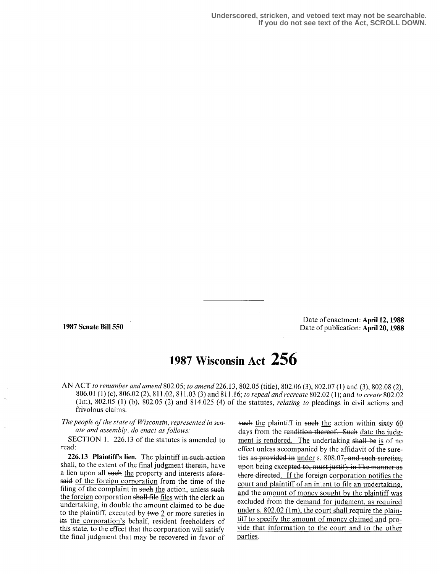Date of enactment: April 12, 1988 1987 Senate Bill 550 Date of publication: April 20, 1988

## 1987 Wisconsin Act 256

AN ACT to renumber and amend 802.05; to amend 226.13, 802.05 (title), 802.06 (3), 802.07 (1) and (3), 802.08 (2), 806.01 (1) (c), 806.02 (2), 811.02, 811.03 (3) and 811.16; to repeal and recreate 802.02 (1); and to create 802.02 (lm), 802 .05 (1) (b), 802.05 (2) and 814.025 (4) of the statutes, relating to pleadings in civil actions and frivolous claims.

The people of the state of Wisconsin, represented in senate and assembly, do enact as follows:

SECTION 1. 226.13 of the statutes is amended to read:

226.13 Plaintiff's lien. The plaintiff in such action shall, to the extent of the final judgment therein, have a lien upon all such the property and interests aforesaid of the foreign corporation from the time of the filing of the complaint in such the action, unless such the foreign corporation shall file files with the clerk an undertaking, in double the amount claimed to be due to the plaintiff, executed by two 2 or more sureties in its the corporation's behalf, resident freeholders of this state, to the effect that the corporation will satisfy the final judgment that may be recovered in favor of

such the plaintiff in such the action within sixty  $60$ days from the <del>rendition thereof. Such</del> <u>date the judg-</u> ment is rendered. The undertaking <del>shall be</del> is of no effect unless accompanied by the affidavit of the sureties as provided in under s. 808.07-and such sureties. upon being excepted to, must justify in like manner as there directed. If the foreign corporation notifies the court and plaintiff of an intent to file an undertaking. and the amount of money sought by the plaintiff was excluded from the demand for judgment, as required under s. 802.02 (1m), the court shall require the plaintiff to specify the amount of money claimed and provide that information to the court and to the other parties.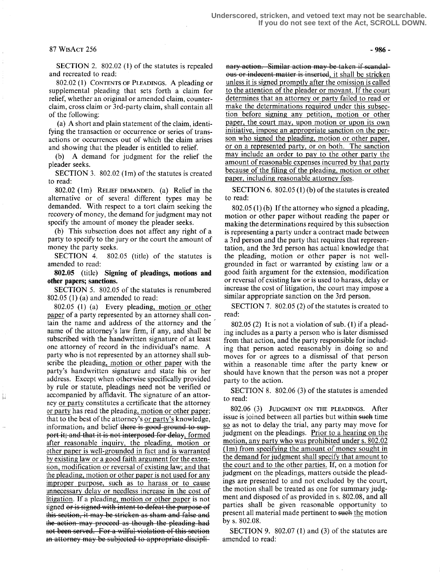## $87 WISACT 256 - 986 -$

SECTION 2. 802.02 (1) of the statutes is repealed and recreated to read:

802.02 (1) CONTENTS of PLEADINGS. A pleading or supplemental pleading that sets forth a claim for relief, whether an original or amended claim, counterclaim, cross claim or 3rd-party claim, shall contain all of the following:

(a) A short and plain statement of the claim, identifying the transaction or occurrence or series of transactions or occurrences out of which the claim arises and showing that the pleader is entitled to relief.

(b) A demand for judgment for the relief the pleader seeks.

SECTION 3. 802.02 (lm) of the statutes is created to read:

802.02 (1m) RELIEF DEMANDED. (a) Relief in the alternative or of several different types may be demanded. With respect to a tort claim seeking the recovery of money, the demand for judgment may not specify the amount of money the pleader seeks.

(b) This subsection does not affect any right of a party to specify to the jury or the court the amount of money the party seeks.<br>SECTION 4. 802

 $802.05$  (title) of the statutes is amended to read:

802.05 (title) Signing of pleadings, motions and other papers; sanctions.

SECTION 5. 802.05 of the statutes is renumbered 802.05 (1) (a) and amended to read:

802.05 (1) (a) Every pleading, motion or other paper of a party represented by an attorney shall contain the name and address of the attorney and the name of the attorney's law firm, if any, and shall be subscribed with the handwritten signature of at least one attorney of record in the individual's name. A party who is not represented by an attorney shall subscribe the pleading, motion or other paper with the party's handwritten signature and state his or her address. Except when otherwise specifically provided by rule or statute, pleadings need not be verified or accompanied by affidavit. The signature of an attorney or party constitutes a certificate that the attorney or party has read the pleading, motion or other paper; that to the best of the attorney's or party's knowledge, information, and belief there is good-ground to support it; and that it is not interposed for delay, formed after reasonable inquiry, the pleading, motion or other paper is well-grounded in fact and is warranted by existing law or a good faith argument for the extension, modification or reversal of existing law; and that the pleading, motion or other paper is not used for any improper purpose, such as to harass or to cause unnecessary delay or needless increase in the cost of litigation . If a pleading, motion or other paper is not signed or is signed with intent to defeat the purpose of this section, it may be stricken as sham and false and the action may proceed as though the pleading had not been served. For a wilful violation of this section an attorney may be subjected to appropriate discipli-

Н

**Example 15**<br> **Example 14**<br> **Example 14**<br> **Example 14**<br> **Example 14**<br> **Example 14**<br> **Example 14**<br> **Example 14**<br> **Example 14**<br> **Example 14**<br> **Example 14**<br> **Example 14**<br> **Example 14**<br> **Example 14**<br> **Example 14** atter is inserted, it shall be stricken unless it is signed promptly after the omission is called to the attention of the pleader or movant. If the court determines that an attorney or party failed to read or make the determinations required under this subsection before signing any petition, motion or other paper, the court may, upon motion or upon its own initiative, impose an appropriate sanction on the person who signed the pleading, motion or other paper, or on a represented party, or on both. The sanction may include an order to pay to the other party the amount of reasonable expenses incurred by that party because of the filing of the pleading, motion or other paper, including reasonable attorney fees.

SECTION 6. 802.05 (1) (b) of the statutes is created to read:

802.05 (1) (b) If the attorney who signed a pleading, motion or other paper without reading the paper or making the determinations required by this subsection is representing a party under a contract made between a 3rd person and the party that requires that representation, and the 3rd person has actual knowledge that the pleading, motion or other paper is not wellgrounded in fact or warranted by existing law or a good faith argument for the extension, modification or reversal of existing law or is used to harass, delay or increase the cost of litigation, the court may impose a similar appropriate sanction on the 3rd person.

SECTION 7. 802.05 (2) of the statutes is created to read:

802.05 (2) It is not a violation of sub. (1) if a pleading includes as a party a person who is later dismissed from that action, and the party responsible for including that person acted reasonably in doing so and moves for or agrees to a dismissal of that person within a reasonable time after the party knew or should have known that the person was not a proper party to the action.

SECTION 8. 802.06 (3) of the statutes is amended to read:

802.06 (3) JUDGMENT ON THE PLEADINGS. After issue is joined between all parties but within such time so as not to delay the trial, any party may move for judgment on the pleadings. Prior to a hearing on the motion, any party who was prohibited under s. 802.02 (lm) from specifying the amount of money sought in the demand for judgment shall specify that amount to the court and to the other parties. If, on a motion for judgment on the pleadings, matters outside the pleadings are presented to and not excluded by the court, the motion shall be treated as one for summary judgment and disposed of as provided in s. 802.08, and all parties shall be given reasonable opportunity to present all material made pertinent to such the motion by s. 802.08.

SECTION 9. 802.07 (1) and (3) of the statutes are amended to read: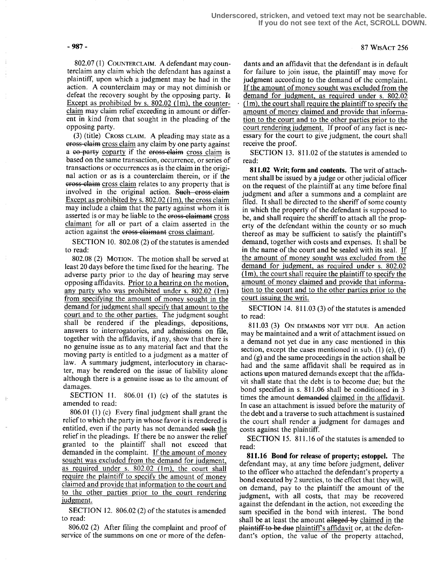802.07 (1) COUNTERCLAIM. A defendant may counterclaim any claim which the defendant has against a plaintiff, upon which a judgment may be had in the action . A counterclaim may or may not diminish or defeat the recovery sought by the opposing party.  $\mathbb{H}$ Except as prohibited by s.  $802.02$  (lm), the counterclaim may claim relief exceeding in amount or different in kind from that sought in the pleading of the opposing party.

(3) (title) CROSS CLAIM. A pleading may state as a eross-elaim cross claim any claim by one party against a co-party coparty if the cross-claim cross claim is based on the same transaction, occurrence, or series of transactions or occurrences as is the claim in the original action or as is a counterclaim therein, or if the cross-claim cross claim relates to any property that is involved in the original action. Such cross claim Except as prohibited by s.  $802.02$  (1m), the cross claim may include a claim that the party against whom it is asserted is or may be liable to the eross-elaimant cross claimant for all or part of a claim asserted in the action against the eross claimant cross claimant.

SECTION 10. 802.08 (2) of the statutes is amended to read:

802.08 (2) MOTION. The motion shall be served at least 20 days before the time fixed for the hearing. The adverse party prior to the day of hearing may serve opposing affidavits. Prior to a hearing on the motion, any party who was prohibited under s. 802.02 (lm) from specifying the amount of money sought in the demand for judgment shall specify that amount to the court and to the other parties. The judgment sought shall be rendered if the pleadings, depositions, answers to interrogatories, and admissions on file, together with the affidavits, if any, show that there is no genuine issue as to any material fact and that the moving party is entitled to a judgment as a matter of law. A summary judgment, interlocutory in character, may be rendered on the issue of liability alone although there is a genuine issue as to the amount of damages.

SECTION 11.  $806.01$  (1) (c) of the statutes is amended to read:

806.01 (1) (c) Every final judgment shall grant the relief to which the party in whose favor it is rendered is entitled, even if the party has not demanded such the relief in the pleadings. If there be no answer the relief granted to the plaintiff shall not exceed that demanded in the complaint. If the amount of money sought was excluded from the demand for judgment, as required under s. 802.02 (lm), the court shall require the plaintiff to specify the amount of money claimed and provide that information to the court and to the other parties prior to the court rendering judgment.

SECTION 12. 806.02 (2) of the statutes is amended to read:

806.02 (2) After filing the complaint and proof of service of the summons on one or more of the defen-

dants and an affidavit that the defendant is in default for failure to join issue, the plaintiff may move for judgment according to the demand of the complaint. If the amount of money sought was excluded from the demand for judgment, as required under s. 802.02 (lm), the court shall require the plaintiff to specify the amount of money claimed and provide that information to the court and to the other parties prior to the court rendering judgment. If proof of any fact is necessary for the court to give judgment, the court shall receive the proof.

SECTION 13. 811.02 of the statutes is amended to read:

811.02 Writ; form and contents. The writ of attachment shall be issued by a judge or other judicial officer on the request of the plaintiff at any time before final judgment and after a summons and a complaint are filed. It shall be directed to the sheriff of some county in which the property of the defendant is supposed to be, and shall require the sheriff to attach all the property of the defendant within the county or so much thereof as may be sufficient to satisfy the plaintiff's demand, together with costs and expenses. It shall be in the name of the court and be sealed with its seal. If the amount of money sought was excluded from the demand for judgment, as required under s. 802.02 (1m), the court shall require the plaintiff to specify the amount of money claimed and provide that information to the court and to the other parties prior to the court issuing the writ.

SECTION 14. 811.03 (3) of the statutes is amended to read:

811 .03 (3) ON DEMANDS NOT YET DUE. An action may be maintained and a writ of attachment issued on a demand not yet due in any case mentioned in this section, except the cases mentioned in sub. (1) (e), (f) and (g) and the same proceedings in the action shall be had and the same affidavit shall be required as in actions upon matured demands except that the affidavit shall state that the debt is to become due; but the bond specified in s. 811 .06 shall be conditioned in 3 times the amount demanded claimed in the affidavit. In case an attachment is issued before the maturity of the debt and a traverse to such attachment is sustained the court shall render a judgment for damages and costs against the plaintiff.

SECTION 15. 811 .16 of the statutes is amended to read:

811.16 Bond for release of property; estoppel. The defendant may, at any time before judgment, deliver to the officer who attached the defendant's property a bond executed by 2 sureties, to the effect that they will, on demand, pay to the plaintiff the amount of the judgment, with all costs, that may be recovered against the defendant in the action, not exceeding the sum specified in the bond with interest. The bond shall be at least the amount alleged by claimed in the  $\mu$  plaintiff to be due plaintiff's affidavit or, at the defendant's option, the value of the property attached,